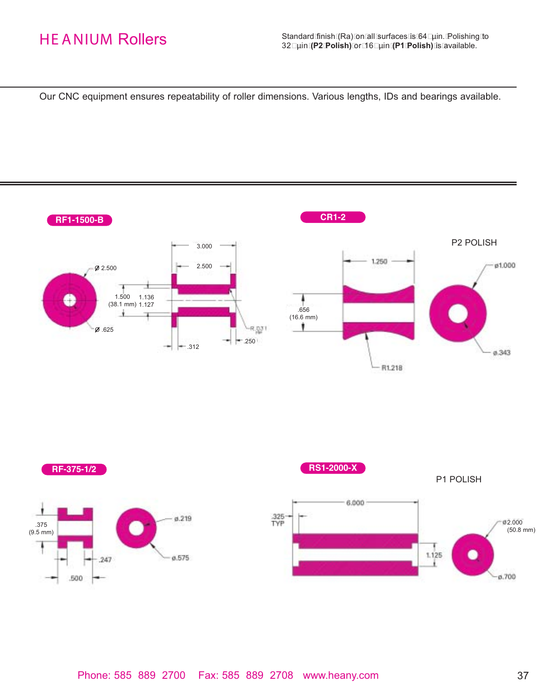Our CNC equipment ensures repeatability of roller dimensions. Various lengths, IDs and bearings available.

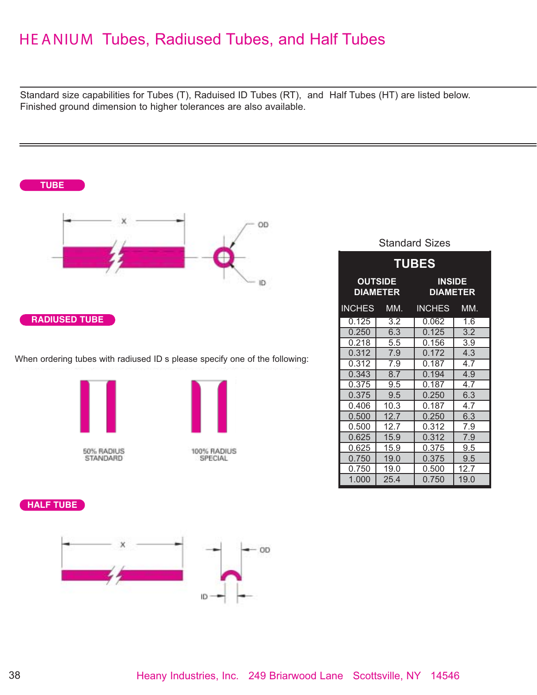## HE ANIUM Tubes, Radiused Tubes, and Half Tubes

Standard size capabilities for Tubes (T), Raduised ID Tubes (RT), and Half Tubes (HT) are listed below. Finished ground dimension to higher tolerances are also available.



Standard Sizes

| <b>TUBES</b>                      |      |                                  |                  |  |  |
|-----------------------------------|------|----------------------------------|------------------|--|--|
| <b>OUTSIDE</b><br><b>DIAMETER</b> |      | <b>INSIDE</b><br><b>DIAMETER</b> |                  |  |  |
| <b>INCHES</b>                     | MM.  | <b>INCHES</b>                    | MM.              |  |  |
| 0.125                             | 3.2  | 0.062                            | 1.6              |  |  |
| 0.250                             | 6.3  | 0.125                            | $\overline{3.2}$ |  |  |
| 0.218                             | 5.5  | 0.156                            | 3.9              |  |  |
| 0.312                             | 7.9  | 0.172                            | 4.3              |  |  |
| 0.312                             | 7.9  | 0.187                            | 4.7              |  |  |
| 0.343                             | 8.7  | 0.194                            | 4.9              |  |  |
| 0.375                             | 9.5  | 0.187                            | 4.7              |  |  |
| 0.375                             | 9.5  | 0.250                            | 6.3              |  |  |
| 0.406                             | 10.3 | 0.187                            | 4.7              |  |  |
| 0.500                             | 12.7 | 0.250                            | 6.3              |  |  |
| 0.500                             | 12.7 | 0.312                            | 7.9              |  |  |
| 0.625                             | 15.9 | 0.312                            | 7.9              |  |  |
| 0.625                             | 15.9 | 0.375                            | 9.5              |  |  |
| 0.750                             | 19.0 | 0.375                            | 9.5              |  |  |
| 0.750                             | 19.0 | 0.500                            | 12.7             |  |  |
| 1.000                             | 25.4 | 0.750                            | 19.0             |  |  |